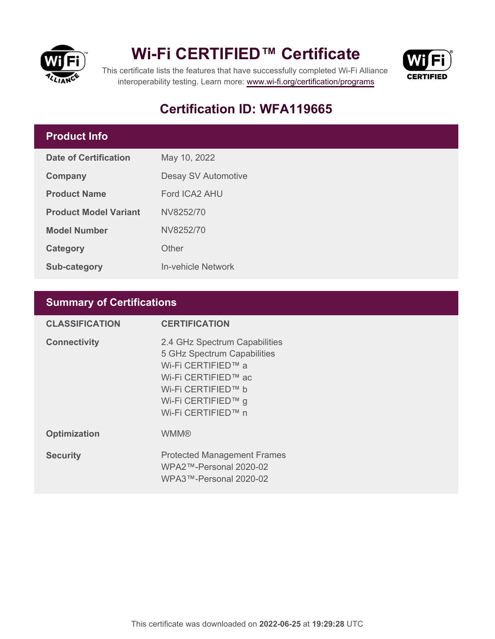

## **Wi-Fi CERTIFIED™ Certificate**



This certificate lists the features that have successfully completed Wi-Fi Alliance interoperability testing. Learn more:<www.wi-fi.org/certification/programs>

## **Certification ID: WFA119665**

### **Product Info**

| Date of Certification        | May 10, 2022        |  |
|------------------------------|---------------------|--|
| Company                      | Desay SV Automotive |  |
| <b>Product Name</b>          | Ford ICA2 AHU       |  |
| <b>Product Model Variant</b> | NV8252/70           |  |
| <b>Model Number</b>          | NV8252/70           |  |
| Category                     | Other               |  |
| <b>Sub-category</b>          | In-vehicle Network  |  |

### **Summary of Certifications**

| <b>CLASSIFICATION</b> | <b>CERTIFICATION</b>                                                                                                                                                        |
|-----------------------|-----------------------------------------------------------------------------------------------------------------------------------------------------------------------------|
| <b>Connectivity</b>   | 2.4 GHz Spectrum Capabilities<br>5 GHz Spectrum Capabilities<br>Wi-Fi CERTIFIED™ a<br>Wi-Fi CERTIFIED™ ac<br>Wi-Fi CERTIFIED™ b<br>Wi-Fi CERTIFIED™ g<br>Wi-Fi CERTIFIED™ n |
| <b>Optimization</b>   | <b>WMM®</b>                                                                                                                                                                 |
| <b>Security</b>       | <b>Protected Management Frames</b><br>WPA2™-Personal 2020-02<br>WPA3™-Personal 2020-02                                                                                      |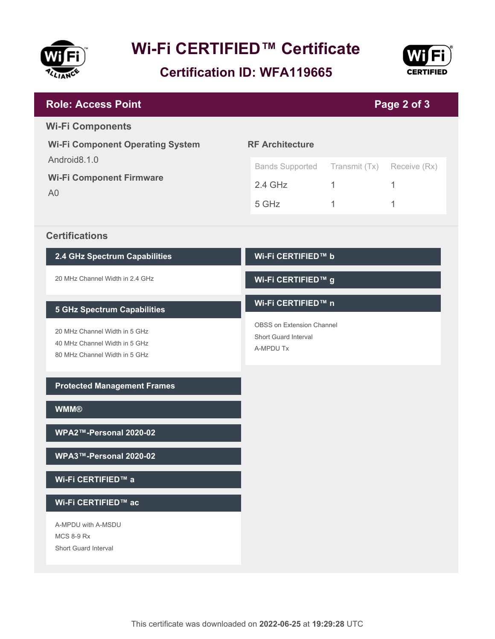

# **Wi-Fi CERTIFIED™ Certificate**

**Certification ID: WFA119665**



| <b>Role: Access Point</b>                                                                                                             |                                                                                                    |                                    | Page 2 of 3            |  |
|---------------------------------------------------------------------------------------------------------------------------------------|----------------------------------------------------------------------------------------------------|------------------------------------|------------------------|--|
| <b>Wi-Fi Components</b><br><b>Wi-Fi Component Operating System</b>                                                                    | <b>RF Architecture</b>                                                                             |                                    |                        |  |
| Android8.1.0<br><b>Wi-Fi Component Firmware</b><br>A <sub>0</sub>                                                                     | <b>Bands Supported</b><br>$2.4$ GHz<br>5 GHz                                                       | Transmit (Tx)<br>$\mathbf{1}$<br>1 | Receive (Rx)<br>1<br>1 |  |
| <b>Certifications</b>                                                                                                                 |                                                                                                    |                                    |                        |  |
| 2.4 GHz Spectrum Capabilities                                                                                                         | Wi-Fi CERTIFIED™ b                                                                                 |                                    |                        |  |
| 20 MHz Channel Width in 2.4 GHz                                                                                                       | Wi-Fi CERTIFIED™ g                                                                                 |                                    |                        |  |
| <b>5 GHz Spectrum Capabilities</b><br>20 MHz Channel Width in 5 GHz<br>40 MHz Channel Width in 5 GHz<br>80 MHz Channel Width in 5 GHz | Wi-Fi CERTIFIED™ n<br><b>OBSS on Extension Channel</b><br><b>Short Guard Interval</b><br>A-MPDU Tx |                                    |                        |  |
| <b>Protected Management Frames</b>                                                                                                    |                                                                                                    |                                    |                        |  |
| <b>WMM®</b>                                                                                                                           |                                                                                                    |                                    |                        |  |
| WPA2™-Personal 2020-02                                                                                                                |                                                                                                    |                                    |                        |  |
| WPA3™-Personal 2020-02                                                                                                                |                                                                                                    |                                    |                        |  |
| Wi-Fi CERTIFIED™ a                                                                                                                    |                                                                                                    |                                    |                        |  |
| Wi-Fi CERTIFIED™ ac                                                                                                                   |                                                                                                    |                                    |                        |  |
| A-MPDU with A-MSDU<br><b>MCS 8-9 Rx</b><br>Short Guard Interval                                                                       |                                                                                                    |                                    |                        |  |